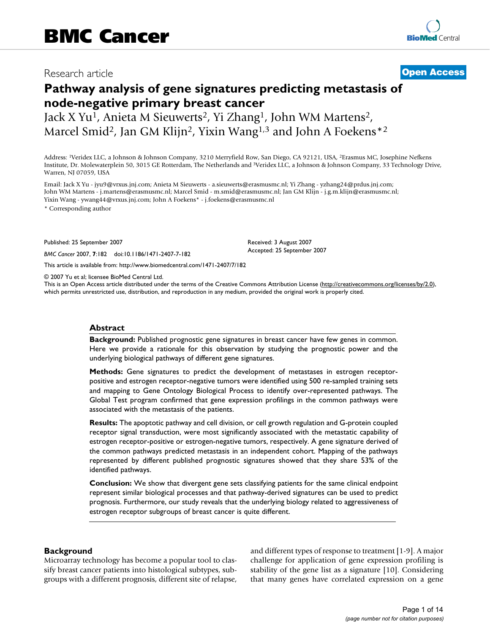# Research article **[Open Access](http://www.biomedcentral.com/info/about/charter/)**

# **Pathway analysis of gene signatures predicting metastasis of node-negative primary breast cancer**

Jack X Yu1, Anieta M Sieuwerts2, Yi Zhang1, John WM Martens2, Marcel Smid<sup>2</sup>, Jan GM Klijn<sup>2</sup>, Yixin Wang<sup>1,3</sup> and John A Foekens<sup>\*2</sup>

Address: 1Veridex LLC, a Johnson & Johnson Company, 3210 Merryfield Row, San Diego, CA 92121, USA, 2Erasmus MC, Josephine Nefkens Institute, Dr. Molewaterplein 50, 3015 GE Rotterdam, The Netherlands and 3Veridex LLC, a Johnson & Johnson Company, 33 Technology Drive, Warren, NJ 07059, USA

Email: Jack X Yu - jyu9@vrxus.jnj.com; Anieta M Sieuwerts - a.sieuwerts@erasmusmc.nl; Yi Zhang - yzhang24@prdus.jnj.com; John WM Martens - j.martens@erasmusmc.nl; Marcel Smid - m.smid@erasmusmc.nl; Jan GM Klijn - j.g.m.klijn@erasmusmc.nl; Yixin Wang - ywang44@vrxus.jnj.com; John A Foekens\* - j.foekens@erasmusmc.nl

\* Corresponding author

Published: 25 September 2007

*BMC Cancer* 2007, **7**:182 doi:10.1186/1471-2407-7-182

[This article is available from: http://www.biomedcentral.com/1471-2407/7/182](http://www.biomedcentral.com/1471-2407/7/182)

© 2007 Yu et al; licensee BioMed Central Ltd.

This is an Open Access article distributed under the terms of the Creative Commons Attribution License [\(http://creativecommons.org/licenses/by/2.0\)](http://creativecommons.org/licenses/by/2.0), which permits unrestricted use, distribution, and reproduction in any medium, provided the original work is properly cited.

Received: 3 August 2007 Accepted: 25 September 2007

### **Abstract**

**Background:** Published prognostic gene signatures in breast cancer have few genes in common. Here we provide a rationale for this observation by studying the prognostic power and the underlying biological pathways of different gene signatures.

**Methods:** Gene signatures to predict the development of metastases in estrogen receptorpositive and estrogen receptor-negative tumors were identified using 500 re-sampled training sets and mapping to Gene Ontology Biological Process to identify over-represented pathways. The Global Test program confirmed that gene expression profilings in the common pathways were associated with the metastasis of the patients.

**Results:** The apoptotic pathway and cell division, or cell growth regulation and G-protein coupled receptor signal transduction, were most significantly associated with the metastatic capability of estrogen receptor-positive or estrogen-negative tumors, respectively. A gene signature derived of the common pathways predicted metastasis in an independent cohort. Mapping of the pathways represented by different published prognostic signatures showed that they share 53% of the identified pathways.

**Conclusion:** We show that divergent gene sets classifying patients for the same clinical endpoint represent similar biological processes and that pathway-derived signatures can be used to predict prognosis. Furthermore, our study reveals that the underlying biology related to aggressiveness of estrogen receptor subgroups of breast cancer is quite different.

### **Background**

Microarray technology has become a popular tool to classify breast cancer patients into histological subtypes, subgroups with a different prognosis, different site of relapse, and different types of response to treatment [1-9]. A major challenge for application of gene expression profiling is stability of the gene list as a signature [10]. Considering that many genes have correlated expression on a gene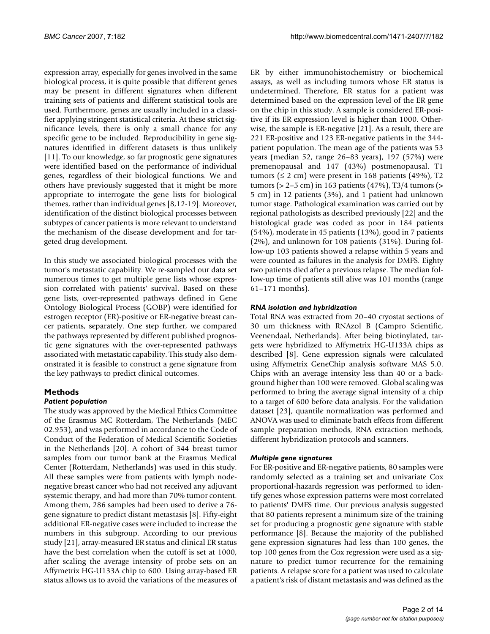expression array, especially for genes involved in the same biological process, it is quite possible that different genes may be present in different signatures when different training sets of patients and different statistical tools are used. Furthermore, genes are usually included in a classifier applying stringent statistical criteria. At these strict significance levels, there is only a small chance for any specific gene to be included. Reproducibility in gene signatures identified in different datasets is thus unlikely [11]. To our knowledge, so far prognostic gene signatures were identified based on the performance of individual genes, regardless of their biological functions. We and others have previously suggested that it might be more appropriate to interrogate the gene lists for biological themes, rather than individual genes [8,12-19]. Moreover, identification of the distinct biological processes between subtypes of cancer patients is more relevant to understand the mechanism of the disease development and for targeted drug development.

In this study we associated biological processes with the tumor's metastatic capability. We re-sampled our data set numerous times to get multiple gene lists whose expression correlated with patients' survival. Based on these gene lists, over-represented pathways defined in Gene Ontology Biological Process (GOBP) were identified for estrogen receptor (ER)-positive or ER-negative breast cancer patients, separately. One step further, we compared the pathways represented by different published prognostic gene signatures with the over-represented pathways associated with metastatic capability. This study also demonstrated it is feasible to construct a gene signature from the key pathways to predict clinical outcomes.

# **Methods**

# *Patient population*

The study was approved by the Medical Ethics Committee of the Erasmus MC Rotterdam, The Netherlands (MEC 02.953), and was performed in accordance to the Code of Conduct of the Federation of Medical Scientific Societies in the Netherlands [20]. A cohort of 344 breast tumor samples from our tumor bank at the Erasmus Medical Center (Rotterdam, Netherlands) was used in this study. All these samples were from patients with lymph nodenegative breast cancer who had not received any adjuvant systemic therapy, and had more than 70% tumor content. Among them, 286 samples had been used to derive a 76 gene signature to predict distant metastasis [8]. Fifty-eight additional ER-negative cases were included to increase the numbers in this subgroup. According to our previous study [21], array-measured ER status and clinical ER status have the best correlation when the cutoff is set at 1000, after scaling the average intensity of probe sets on an Affymetrix HG-U133A chip to 600. Using array-based ER status allows us to avoid the variations of the measures of ER by either immunohistochemistry or biochemical assays, as well as including tumors whose ER status is undetermined. Therefore, ER status for a patient was determined based on the expression level of the ER gene on the chip in this study. A sample is considered ER-positive if its ER expression level is higher than 1000. Otherwise, the sample is ER-negative [21]. As a result, there are 221 ER-positive and 123 ER-negative patients in the 344 patient population. The mean age of the patients was 53 years (median 52, range 26–83 years), 197 (57%) were premenopausal and 147 (43%) postmenopausal. T1 tumors ( $\leq 2$  cm) were present in 168 patients (49%), T2 tumors (> 2–5 cm) in 163 patients (47%), T3/4 tumors (> 5 cm) in 12 patients (3%), and 1 patient had unknown tumor stage. Pathological examination was carried out by regional pathologists as described previously [22] and the histological grade was coded as poor in 184 patients (54%), moderate in 45 patients (13%), good in 7 patients (2%), and unknown for 108 patients (31%). During follow-up 103 patients showed a relapse within 5 years and were counted as failures in the analysis for DMFS. Eighty two patients died after a previous relapse. The median follow-up time of patients still alive was 101 months (range 61–171 months).

# *RNA isolation and hybridization*

Total RNA was extracted from 20–40 cryostat sections of 30 um thickness with RNAzol B (Campro Scientific, Veenendaal, Netherlands). After being biotinylated, targets were hybridized to Affymetrix HG-U133A chips as described [8]. Gene expression signals were calculated using Affymetrix GeneChip analysis software MAS 5.0. Chips with an average intensity less than 40 or a background higher than 100 were removed. Global scaling was performed to bring the average signal intensity of a chip to a target of 600 before data analysis. For the validation dataset [23], quantile normalization was performed and ANOVA was used to eliminate batch effects from different sample preparation methods, RNA extraction methods, different hybridization protocols and scanners.

# *Multiple gene signatures*

For ER-positive and ER-negative patients, 80 samples were randomly selected as a training set and univariate Cox proportional-hazards regression was performed to identify genes whose expression patterns were most correlated to patients' DMFS time. Our previous analysis suggested that 80 patients represent a minimum size of the training set for producing a prognostic gene signature with stable performance [8]. Because the majority of the published gene expression signatures had less than 100 genes, the top 100 genes from the Cox regression were used as a signature to predict tumor recurrence for the remaining patients. A relapse score for a patient was used to calculate a patient's risk of distant metastasis and was defined as the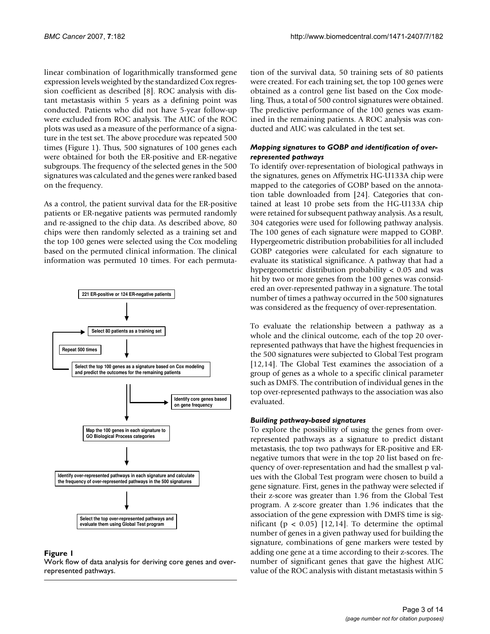linear combination of logarithmically transformed gene expression levels weighted by the standardized Cox regression coefficient as described [8]. ROC analysis with distant metastasis within 5 years as a defining point was conducted. Patients who did not have 5-year follow-up were excluded from ROC analysis. The AUC of the ROC plots was used as a measure of the performance of a signature in the test set. The above procedure was repeated 500 times (Figure 1). Thus, 500 signatures of 100 genes each were obtained for both the ER-positive and ER-negative subgroups. The frequency of the selected genes in the 500 signatures was calculated and the genes were ranked based on the frequency.

As a control, the patient survival data for the ER-positive patients or ER-negative patients was permuted randomly and re-assigned to the chip data. As described above, 80 chips were then randomly selected as a training set and the top 100 genes were selected using the Cox modeling based on the permuted clinical information. The clinical information was permuted 10 times. For each permuta-



# Figure 1

Work flow of data analysis for deriving core genes and overrepresented pathways.

tion of the survival data, 50 training sets of 80 patients were created. For each training set, the top 100 genes were obtained as a control gene list based on the Cox modeling. Thus, a total of 500 control signatures were obtained. The predictive performance of the 100 genes was examined in the remaining patients. A ROC analysis was conducted and AUC was calculated in the test set.

# *Mapping signatures to GOBP and identification of overrepresented pathways*

To identify over-representation of biological pathways in the signatures, genes on Affymetrix HG-U133A chip were mapped to the categories of GOBP based on the annotation table downloaded from [24]. Categories that contained at least 10 probe sets from the HG-U133A chip were retained for subsequent pathway analysis. As a result, 304 categories were used for following pathway analysis. The 100 genes of each signature were mapped to GOBP. Hypergeometric distribution probabilities for all included GOBP categories were calculated for each signature to evaluate its statistical significance. A pathway that had a hypergeometric distribution probability  $\lt$  0.05 and was hit by two or more genes from the 100 genes was considered an over-represented pathway in a signature. The total number of times a pathway occurred in the 500 signatures was considered as the frequency of over-representation.

To evaluate the relationship between a pathway as a whole and the clinical outcome, each of the top 20 overrepresented pathways that have the highest frequencies in the 500 signatures were subjected to Global Test program [12,14]. The Global Test examines the association of a group of genes as a whole to a specific clinical parameter such as DMFS. The contribution of individual genes in the top over-represented pathways to the association was also evaluated.

# *Building pathway-based signatures*

To explore the possibility of using the genes from overrepresented pathways as a signature to predict distant metastasis, the top two pathways for ER-positive and ERnegative tumors that were in the top 20 list based on frequency of over-representation and had the smallest p values with the Global Test program were chosen to build a gene signature. First, genes in the pathway were selected if their z-score was greater than 1.96 from the Global Test program. A z-score greater than 1.96 indicates that the association of the gene expression with DMFS time is significant ( $p < 0.05$ ) [12,14]. To determine the optimal number of genes in a given pathway used for building the signature, combinations of gene markers were tested by adding one gene at a time according to their z-scores. The number of significant genes that gave the highest AUC value of the ROC analysis with distant metastasis within 5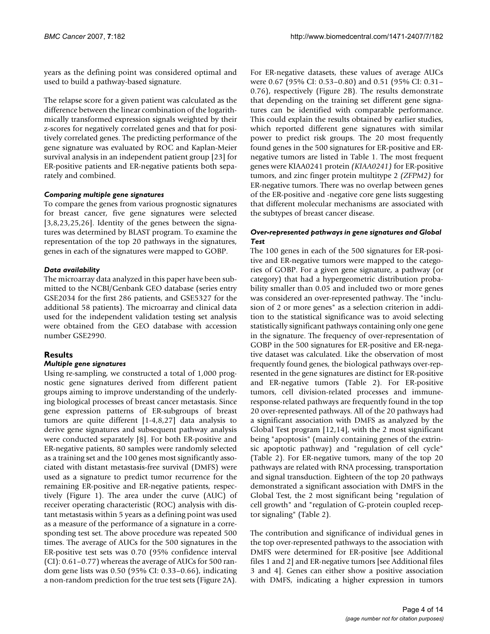years as the defining point was considered optimal and used to build a pathway-based signature.

The relapse score for a given patient was calculated as the difference between the linear combination of the logarithmically transformed expression signals weighted by their z-scores for negatively correlated genes and that for positively correlated genes. The predicting performance of the gene signature was evaluated by ROC and Kaplan-Meier survival analysis in an independent patient group [23] for ER-positive patients and ER-negative patients both separately and combined.

## *Comparing multiple gene signatures*

To compare the genes from various prognostic signatures for breast cancer, five gene signatures were selected [3,8,23,25,26]. Identity of the genes between the signatures was determined by BLAST program. To examine the representation of the top 20 pathways in the signatures, genes in each of the signatures were mapped to GOBP.

# *Data availability*

The microarray data analyzed in this paper have been submitted to the NCBI/Genbank GEO database (series entry GSE2034 for the first 286 patients, and GSE5327 for the additional 58 patients). The microarray and clinical data used for the independent validation testing set analysis were obtained from the GEO database with accession number GSE2990.

# **Results**

# *Multiple gene signatures*

Using re-sampling, we constructed a total of 1,000 prognostic gene signatures derived from different patient groups aiming to improve understanding of the underlying biological processes of breast cancer metastasis. Since gene expression patterns of ER-subgroups of breast tumors are quite different [1-4,8,27] data analysis to derive gene signatures and subsequent pathway analysis were conducted separately [8]. For both ER-positive and ER-negative patients, 80 samples were randomly selected as a training set and the 100 genes most significantly associated with distant metastasis-free survival (DMFS) were used as a signature to predict tumor recurrence for the remaining ER-positive and ER-negative patients, respectively (Figure 1). The area under the curve (AUC) of receiver operating characteristic (ROC) analysis with distant metastasis within 5 years as a defining point was used as a measure of the performance of a signature in a corresponding test set. The above procedure was repeated 500 times. The average of AUCs for the 500 signatures in the ER-positive test sets was 0.70 (95% confidence interval (CI): 0.61–0.77) whereas the average of AUCs for 500 random gene lists was 0.50 (95% CI: 0.33–0.66), indicating a non-random prediction for the true test sets (Figure 2A).

For ER-negative datasets, these values of average AUCs were 0.67 (95% CI: 0.53–0.80) and 0.51 (95% CI: 0.31– 0.76), respectively (Figure 2B). The results demonstrate that depending on the training set different gene signatures can be identified with comparable performance. This could explain the results obtained by earlier studies, which reported different gene signatures with similar power to predict risk groups. The 20 most frequently found genes in the 500 signatures for ER-positive and ERnegative tumors are listed in Table 1. The most frequent genes were KIAA0241 protein *(KIAA0241)* for ER-positive tumors, and zinc finger protein multitype 2 *(ZFPM2)* for ER-negative tumors. There was no overlap between genes of the ER-positive and -negative core gene lists suggesting that different molecular mechanisms are associated with the subtypes of breast cancer disease.

# *Over-represented pathways in gene signatures and Global Test*

The 100 genes in each of the 500 signatures for ER-positive and ER-negative tumors were mapped to the categories of GOBP. For a given gene signature, a pathway (or category) that had a hypergeometric distribution probability smaller than 0.05 and included two or more genes was considered an over-represented pathway. The "inclusion of 2 or more genes" as a selection criterion in addition to the statistical significance was to avoid selecting statistically significant pathways containing only one gene in the signature. The frequency of over-representation of GOBP in the 500 signatures for ER-positive and ER-negative dataset was calculated. Like the observation of most frequently found genes, the biological pathways over-represented in the gene signatures are distinct for ER-positive and ER-negative tumors (Table 2). For ER-positive tumors, cell division-related processes and immuneresponse-related pathways are frequently found in the top 20 over-represented pathways. All of the 20 pathways had a significant association with DMFS as analyzed by the Global Test program [12,14], with the 2 most significant being "apoptosis" (mainly containing genes of the extrinsic apoptotic pathway) and "regulation of cell cycle" (Table 2). For ER-negative tumors, many of the top 20 pathways are related with RNA processing, transportation and signal transduction. Eighteen of the top 20 pathways demonstrated a significant association with DMFS in the Global Test, the 2 most significant being "regulation of cell growth" and "regulation of G-protein coupled receptor signaling" (Table 2).

The contribution and significance of individual genes in the top over-represented pathways to the association with DMFS were determined for ER-positive [see Additional files 1 and 2] and ER-negative tumors [see Additional files 3 and 4]. Genes can either show a positive association with DMFS, indicating a higher expression in tumors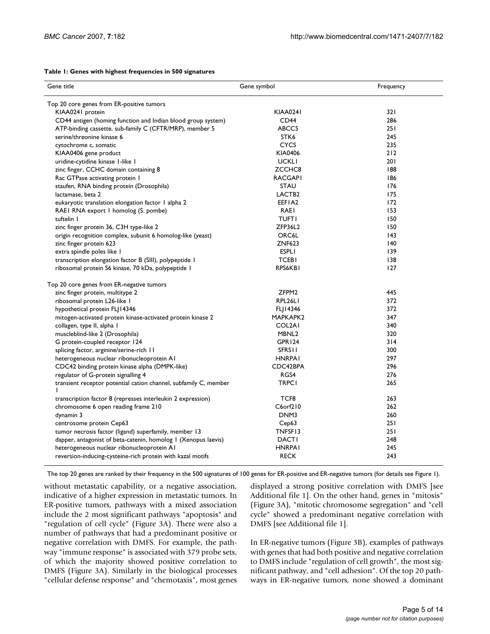#### **Table 1: Genes with highest frequencies in 500 signatures**

| Gene title                                                            | Gene symbol        | Frequency |  |  |
|-----------------------------------------------------------------------|--------------------|-----------|--|--|
| Top 20 core genes from ER-positive tumors                             |                    |           |  |  |
| KIAA0241 protein                                                      | <b>KIAA0241</b>    | 321       |  |  |
| CD44 antigen (homing function and Indian blood group system)          | CD <sub>44</sub>   | 286       |  |  |
| ATP-binding cassette, sub-family C (CFTR/MRP), member 5               | ABCC5              | 251       |  |  |
| serine/threonine kinase 6                                             | STK <sub>6</sub>   | 245       |  |  |
| cytochrome c, somatic                                                 | <b>CYCS</b>        | 235       |  |  |
| KIAA0406 gene product                                                 | KIA0406            | 212       |  |  |
| uridine-cytidine kinase I-like I                                      | <b>UCKLI</b>       | 201       |  |  |
| zinc finger, CCHC domain containing 8                                 | ZCCHC8             | 188       |  |  |
| Rac GTPase activating protein 1                                       | <b>RACGAPI</b>     | 186       |  |  |
| staufen, RNA binding protein (Drosophila)                             | <b>STAU</b>        | 176       |  |  |
| lactamase, beta 2                                                     | LACTB <sub>2</sub> | 175       |  |  |
| eukaryotic translation elongation factor I alpha 2                    | EEFIA2             | 172       |  |  |
| RAEI RNA export I homolog (S. pombe)                                  | <b>RAEI</b>        | 153       |  |  |
| tuftelin I                                                            | <b>TUFTI</b>       | 150       |  |  |
| zinc finger protein 36, C3H type-like 2                               | ZFP36L2            | 150       |  |  |
| origin recognition complex, subunit 6 homolog-like (yeast)            | <b>ORC6L</b>       | 43        |  |  |
| zinc finger protein 623                                               | <b>ZNF623</b>      | 140       |  |  |
| extra spindle poles like I                                            | <b>ESPLI</b>       | 139       |  |  |
| transcription elongation factor B (SIII), polypeptide I               | <b>TCEBI</b>       | 138       |  |  |
| ribosomal protein S6 kinase, 70 kDa, polypeptide I                    | RPS6KBI            | 127       |  |  |
| Top 20 core genes from ER-negative tumors                             |                    |           |  |  |
| zinc finger protein, multitype 2                                      | ZFPM2              | 445       |  |  |
| ribosomal protein L26-like I                                          | RPL26LI            | 372       |  |  |
| hypothetical protein FLJ14346                                         | FL 14346           | 372       |  |  |
| mitogen-activated protein kinase-activated protein kinase 2           | MAPKAPK2           | 347       |  |  |
| collagen, type II, alpha I                                            | COL2AI             | 340       |  |  |
| muscleblind-like 2 (Drosophila)                                       | MBNL <sub>2</sub>  | 320       |  |  |
| G protein-coupled receptor 124                                        | GPR124             | 314       |  |  |
| splicing factor, arginine/serine-rich 11                              | <b>SFRSII</b>      | 300       |  |  |
| heterogeneous nuclear ribonucleoprotein AI                            | <b>HNRPAI</b>      | 297       |  |  |
| CDC42 binding protein kinase alpha (DMPK-like)                        | CDC42BPA           | 296       |  |  |
| regulator of G-protein signalling 4                                   | RGS4               | 276       |  |  |
| transient receptor potential cation channel, subfamily C, member<br>T | <b>TRPC1</b>       | 265       |  |  |
| transcription factor 8 (represses interleukin 2 expression)           | TCF8               | 263       |  |  |
| chromosome 6 open reading frame 210                                   | C6orf210           | 262       |  |  |
| dynamin 3                                                             | DNM3               | 260       |  |  |
| centrosome protein Cep63                                              | Cep63              | 251       |  |  |
| tumor necrosis factor (ligand) superfamily, member 13                 | TNFSF13            | 251       |  |  |
| dapper, antagonist of beta-catenin, homolog I (Xenopus laevis)        | <b>DACTI</b>       | 248       |  |  |
| heterogeneous nuclear ribonucleoprotein AI                            | <b>HNRPAI</b>      | 245       |  |  |
| reversion-inducing-cysteine-rich protein with kazal motifs            | <b>RECK</b>        | 243       |  |  |

The top 20 genes are ranked by their frequency in the 500 signatures of 100 genes for ER-positive and ER-negative tumors (for details see Figure 1).

without metastatic capability, or a negative association, indicative of a higher expression in metastatic tumors. In ER-positive tumors, pathways with a mixed association include the 2 most significant pathways "apoptosis" and "regulation of cell cycle" (Figure 3A). There were also a number of pathways that had a predominant positive or negative correlation with DMFS. For example, the pathway "immune response" is associated with 379 probe sets, of which the majority showed positive correlation to DMFS (Figure 3A). Similarly in the biological processes "cellular defense response" and "chemotaxis", most genes displayed a strong positive correlation with DMFS [see Additional file 1]. On the other hand, genes in "mitosis" (Figure 3A), "mitotic chromosome segregation" and "cell cycle" showed a predominant negative correlation with DMFS [see Additional file 1].

In ER-negative tumors (Figure 3B), examples of pathways with genes that had both positive and negative correlation to DMFS include "regulation of cell growth", the most significant pathway, and "cell adhesion". Of the top 20 pathways in ER-negative tumors, none showed a dominant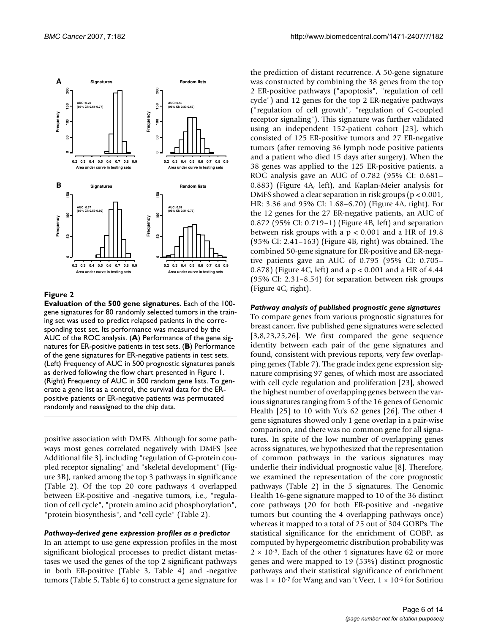

# **Figure 2**

**Evaluation of the 500 gene signatures**. Each of the 100 gene signatures for 80 randomly selected tumors in the training set was used to predict relapsed patients in the corresponding test set. Its performance was measured by the AUC of the ROC analysis. (**A**) Performance of the gene signatures for ER-positive patients in test sets. (**B**) Performance of the gene signatures for ER-negative patients in test sets. (Left) Frequency of AUC in 500 prognostic signatures panels as derived following the flow chart presented in Figure 1. (Right) Frequency of AUC in 500 random gene lists. To generate a gene list as a control, the survival data for the ERpositive patients or ER-negative patients was permutated randomly and reassigned to the chip data.

positive association with DMFS. Although for some pathways most genes correlated negatively with DMFS [see Additional file 3], including "regulation of G-protein coupled receptor signaling" and "skeletal development" (Figure 3B), ranked among the top 3 pathways in significance (Table 2). Of the top 20 core pathways 4 overlapped between ER-positive and -negative tumors, i.e., "regulation of cell cycle", "protein amino acid phosphorylation", "protein biosynthesis", and "cell cycle" (Table 2).

#### *Pathway-derived gene expression profiles as a predictor*

In an attempt to use gene expression profiles in the most significant biological processes to predict distant metastases we used the genes of the top 2 significant pathways in both ER-positive (Table 3, Table 4) and -negative tumors (Table 5, Table 6) to construct a gene signature for the prediction of distant recurrence. A 50-gene signature was constructed by combining the 38 genes from the top 2 ER-positive pathways ("apoptosis", "regulation of cell cycle") and 12 genes for the top 2 ER-negative pathways ("regulation of cell growth", "regulation of G-coupled receptor signaling"). This signature was further validated using an independent 152-patient cohort [23], which consisted of 125 ER-positive tumors and 27 ER-negative tumors (after removing 36 lymph node positive patients and a patient who died 15 days after surgery). When the 38 genes was applied to the 125 ER-positive patients, a ROC analysis gave an AUC of 0.782 (95% CI: 0.681– 0.883) (Figure 4A, left), and Kaplan-Meier analysis for DMFS showed a clear separation in risk groups (p < 0.001, HR: 3.36 and 95% CI: 1.68–6.70) (Figure 4A, right). For the 12 genes for the 27 ER-negative patients, an AUC of 0.872 (95% CI: 0.719–1) (Figure 4B, left) and separation between risk groups with a  $p < 0.001$  and a HR of 19.8 (95% CI: 2.41–163) (Figure 4B, right) was obtained. The combined 50-gene signature for ER-positive and ER-negative patients gave an AUC of 0.795 (95% CI: 0.705– 0.878) (Figure 4C, left) and a p < 0.001 and a HR of 4.44 (95% CI: 2.31–8.54) for separation between risk groups (Figure 4C, right).

#### *Pathway analysis of published prognostic gene signatures*

To compare genes from various prognostic signatures for breast cancer, five published gene signatures were selected [3,8,23,25,26]. We first compared the gene sequence identity between each pair of the gene signatures and found, consistent with previous reports, very few overlapping genes (Table 7). The grade index gene expression signature comprising 97 genes, of which most are associated with cell cycle regulation and proliferation [23], showed the highest number of overlapping genes between the various signatures ranging from 5 of the 16 genes of Genomic Health [25] to 10 with Yu's 62 genes [26]. The other 4 gene signatures showed only 1 gene overlap in a pair-wise comparison, and there was no common gene for all signatures. In spite of the low number of overlapping genes across signatures, we hypothesized that the representation of common pathways in the various signatures may underlie their individual prognostic value [8]. Therefore, we examined the representation of the core prognostic pathways (Table 2) in the 5 signatures. The Genomic Health 16-gene signature mapped to 10 of the 36 distinct core pathways (20 for both ER-positive and -negative tumors but counting the 4 overlapping pathways once) whereas it mapped to a total of 25 out of 304 GOBPs. The statistical significance for the enrichment of GOBP, as computed by hypergeometric distribution probability was  $2 \times 10^{-5}$ . Each of the other 4 signatures have 62 or more genes and were mapped to 19 (53%) distinct prognostic pathways and their statistical significance of enrichment was  $1 \times 10^{-7}$  for Wang and van 't Veer,  $1 \times 10^{-6}$  for Sotiriou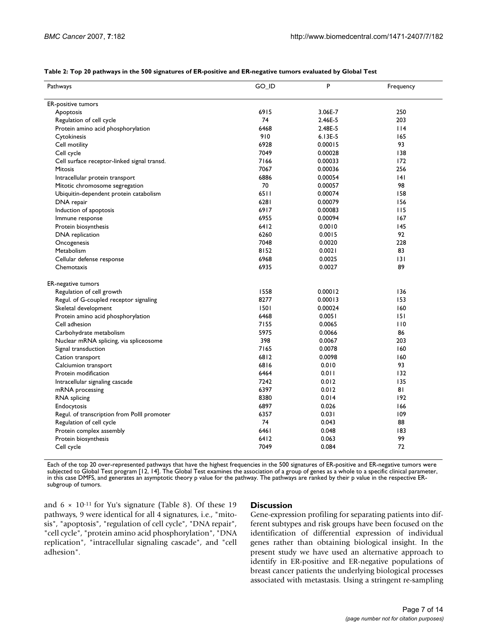| Pathways                                    | GO_ID | P         | Frequency |
|---------------------------------------------|-------|-----------|-----------|
| <b>ER-positive tumors</b>                   |       |           |           |
| Apoptosis                                   | 6915  | 3.06E-7   | 250       |
| Regulation of cell cycle                    | 74    | 2.46E-5   | 203       |
| Protein amino acid phosphorylation          | 6468  | 2.48E-5   | $ $  4    |
| Cytokinesis                                 | 910   | $6.13E-5$ | 165       |
| Cell motility                               | 6928  | 0.00015   | 93        |
| Cell cycle                                  | 7049  | 0.00028   | 138       |
| Cell surface receptor-linked signal transd. | 7166  | 0.00033   | 172       |
| <b>Mitosis</b>                              | 7067  | 0.00036   | 256       |
| Intracellular protein transport             | 6886  | 0.00054   | 4         |
| Mitotic chromosome segregation              | 70    | 0.00057   | 98        |
| Ubiquitin-dependent protein catabolism      | 6511  | 0.00074   | 158       |
| DNA repair                                  | 6281  | 0.00079   | 156       |
| Induction of apoptosis                      | 6917  | 0.00083   | 115       |
| Immune response                             | 6955  | 0.00094   | 167       |
| Protein biosynthesis                        | 6412  | 0.0010    | 145       |
| DNA replication                             | 6260  | 0.0015    | 92        |
| Oncogenesis                                 | 7048  | 0.0020    | 228       |
| Metabolism                                  | 8152  | 0.0021    | 83        |
| Cellular defense response                   | 6968  | 0.0025    | 3         |
| Chemotaxis                                  | 6935  | 0.0027    | 89        |
| <b>ER-negative tumors</b>                   |       |           |           |
| Regulation of cell growth                   | 1558  | 0.00012   | 136       |
| Regul. of G-coupled receptor signaling      | 8277  | 0.00013   | 153       |
| Skeletal development                        | 1501  | 0.00024   | 160       |
| Protein amino acid phosphorylation          | 6468  | 0.0051    | 151       |
| Cell adhesion                               | 7155  | 0.0065    | 110       |
| Carbohydrate metabolism                     | 5975  | 0.0066    | 86        |
| Nuclear mRNA splicing, via spliceosome      | 398   | 0.0067    | 203       |
| Signal transduction                         | 7165  | 0.0078    | 160       |
| Cation transport                            | 6812  | 0.0098    | 160       |
| Calciumion transport                        | 6816  | 0.010     | 93        |
| Protein modification                        | 6464  | 0.011     | 132       |
| Intracellular signaling cascade             | 7242  | 0.012     | 135       |
| mRNA processing                             | 6397  | 0.012     | 81        |
| <b>RNA</b> splicing                         | 8380  | 0.014     | 192       |
| Endocytosis                                 | 6897  | 0.026     | 166       |
| Regul. of transcription from Polll promoter | 6357  | 0.031     | 109       |
| Regulation of cell cycle                    | 74    | 0.043     | 88        |
| Protein complex assembly                    | 6461  | 0.048     | 183       |
| Protein biosynthesis                        | 6412  | 0.063     | 99        |
| Cell cycle                                  | 7049  | 0.084     | 72        |

**Table 2: Top 20 pathways in the 500 signatures of ER-positive and ER-negative tumors evaluated by Global Test**

Each of the top 20 over-represented pathways that have the highest frequencies in the 500 signatures of ER-positive and ER-negative tumors were subjected to Global Test program [12, 14]. The Global Test examines the association of a group of genes as a whole to a specific clinical parameter, in this case DMFS, and generates an asymptotic theory p value for the pathway. The pathways are ranked by their p value in the respective ERsubgroup of tumors.

and  $6 \times 10^{-11}$  for Yu's signature (Table 8). Of these 19 pathways, 9 were identical for all 4 signatures, i.e., "mitosis", "apoptosis", "regulation of cell cycle", "DNA repair", "cell cycle", "protein amino acid phosphorylation", "DNA replication", "intracellular signaling cascade", and "cell adhesion".

### **Discussion**

Gene-expression profiling for separating patients into different subtypes and risk groups have been focused on the identification of differential expression of individual genes rather than obtaining biological insight. In the present study we have used an alternative approach to identify in ER-positive and ER-negative populations of breast cancer patients the underlying biological processes associated with metastasis. Using a stringent re-sampling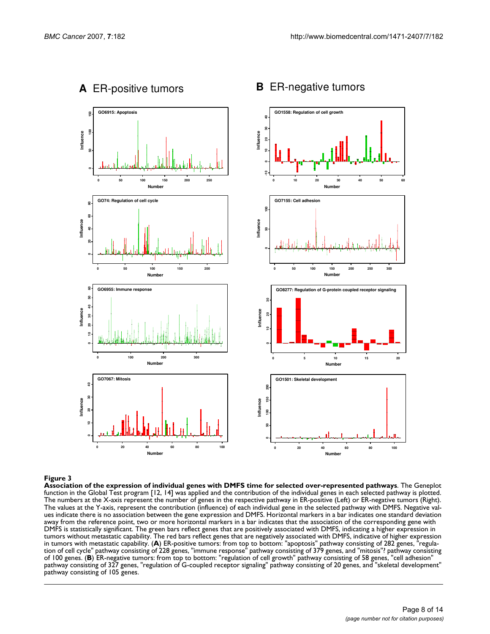

#### Association of the expression of individual genes **Figure 3** with DMFS time for selected over-represented pathways

**Association of the expression of individual genes with DMFS time for selected over-represented pathways**. The Geneplot function in the Global Test program [12, 14] was applied and the contribution of the individual genes in each selected pathway is plotted. The numbers at the X-axis represent the number of genes in the respective pathway in ER-positive (Left) or ER-negative tumors (Right). The values at the Y-axis, represent the contribution (influence) of each individual gene in the selected pathway with DMFS. Negative values indicate there is no association between the gene expression and DMFS. Horizontal markers in a bar indicates one standard deviation away from the reference point, two or more horizontal markers in a bar indicates that the association of the corresponding gene with DMFS is statistically significant. The green bars reflect genes that are positively associated with DMFS, indicating a higher expression in tumors without metastatic capability. The red bars reflect genes that are negatively associated with DMFS, indicative of higher expression in tumors with metastatic capability. (**A**) ER-positive tumors: from top to bottom: "apoptosis" pathway consisting of 282 genes, "regulation of cell cycle" pathway consisting of 228 genes, "immune response" pathway consisting of 379 genes, and "mitosis"? pathway consisting of 100 genes. (**B**) ER-negative tumors: from top to bottom: "regulation of cell growth" pathway consisting of 58 genes, "cell adhesion" pathway consisting of 327 genes, "regulation of G-coupled receptor signaling" pathway consisting of 20 genes, and "skeletal development" pathway consisting of 105 genes.

# **<sup>A</sup>**ER-positive tumors **<sup>B</sup>**ER-negative tumors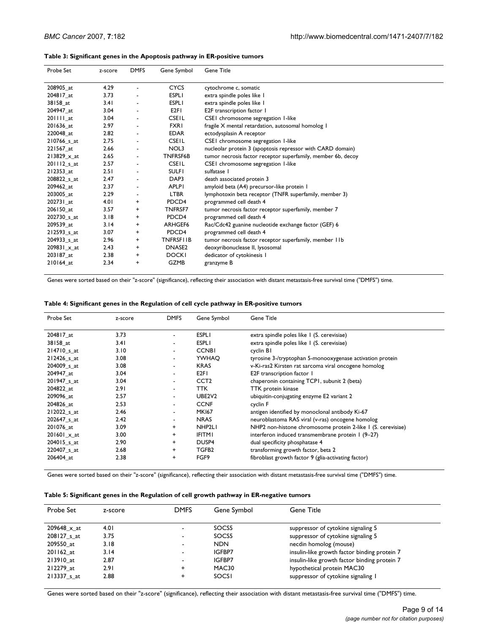#### **Table 3: Significant genes in the Apoptosis pathway in ER-positive tumors**

| Probe Set          | z-score | <b>DMFS</b>              | Gene Symbol        | <b>Gene Title</b>                                            |
|--------------------|---------|--------------------------|--------------------|--------------------------------------------------------------|
| 208905 at          | 4.29    | $\blacksquare$           | <b>CYCS</b>        | cytochrome c, somatic                                        |
| 204817_at          | 3.73    |                          | <b>ESPLI</b>       | extra spindle poles like I                                   |
| 38158_at           | 3.41    | $\overline{\phantom{a}}$ | <b>ESPLI</b>       | extra spindle poles like I                                   |
| 204947 at          | 3.04    | $\overline{\phantom{a}}$ | E <sub>2FI</sub>   | E2F transcription factor 1                                   |
| $201111$ _at       | 3.04    | $\overline{\phantom{a}}$ | <b>CSEIL</b>       | CSEI chromosome segregation I-like                           |
| 201636_at          | 2.97    |                          | <b>FXRI</b>        | fragile X mental retardation, autosomal homolog 1            |
| 220048_at          | 2.82    |                          | <b>EDAR</b>        | ectodysplasin A receptor                                     |
| 210766_s_at        | 2.75    | $\overline{\phantom{a}}$ | <b>CSEIL</b>       | CSEI chromosome segregation I-like                           |
| 221567_at          | 2.66    | $\overline{\phantom{a}}$ | NOL3               | nucleolar protein 3 (apoptosis repressor with CARD domain)   |
| $213829 \times at$ | 2.65    | $\overline{\phantom{a}}$ | <b>TNFRSF6B</b>    | tumor necrosis factor receptor superfamily, member 6b, decoy |
| $201112$ _s_at     | 2.57    | $\blacksquare$           | <b>CSEIL</b>       | CSEI chromosome segregation I-like                           |
| 212353_at          | 2.51    |                          | <b>SULFI</b>       | sulfatase                                                    |
| 208822 s at        | 2.47    | $\overline{\phantom{a}}$ | DAP3               | death associated protein 3                                   |
| 209462 at          | 2.37    | $\overline{\phantom{a}}$ | <b>APLPI</b>       | amyloid beta (A4) precursor-like protein I                   |
| 203005_at          | 2.29    | $\blacksquare$           | <b>LTBR</b>        | lymphotoxin beta receptor (TNFR superfamily, member 3)       |
| 202731_at          | 4.01    | $^{+}$                   | PDCD4              | programmed cell death 4                                      |
| 206150_at          | 3.57    | $+$                      | <b>TNFRSF7</b>     | tumor necrosis factor receptor superfamily, member 7         |
| 202730 s at        | 3.18    | $+$                      | PDCD4              | programmed cell death 4                                      |
| 209539_at          | 3.14    | $^{+}$                   | ARHGEF6            | Rac/Cdc42 guanine nucleotide exchange factor (GEF) 6         |
| 212593_s_at        | 3.07    | $+$                      | PDCD4              | programmed cell death 4                                      |
| 204933_s_at        | 2.96    | $\ddot{}$                | <b>TNFRSFIIB</b>   | tumor necrosis factor receptor superfamily, member 11b       |
| 209831_x_at        | 2.43    | $\ddot{}$                | DNASE <sub>2</sub> | deoxyribonuclease II, lysosomal                              |
| 203187_at          | 2.38    | $\ddot{}$                | <b>DOCKI</b>       | dedicator of cytokinesis I                                   |
| 210164_at          | 2.34    | $\ddot{}$                | <b>GZMB</b>        | granzyme B                                                   |

Genes were sorted based on their "z-score" (significance), reflecting their association with distant metastasis-free survival time ("DMFS") time.

#### **Table 4: Significant genes in the Regulation of cell cycle pathway in ER-positive tumors**

| Probe Set   | z-score | <b>DMFS</b>              | Gene Symbol       | <b>Gene Title</b>                                            |
|-------------|---------|--------------------------|-------------------|--------------------------------------------------------------|
| 204817 at   | 3.73    | ۰                        | <b>ESPLI</b>      | extra spindle poles like 1 (S. cerevisiae)                   |
| 38158 at    | 3.41    |                          | <b>ESPLI</b>      | extra spindle poles like 1 (S. cerevisiae)                   |
| 214710 s at | 3.10    | $\overline{\phantom{a}}$ | <b>CCNBI</b>      | cyclin BI                                                    |
| 212426_s_at | 3.08    | ۰                        | YWHAO             | tyrosine 3-/tryptophan 5-monooxygenase activation protein    |
| 204009_s_at | 3.08    |                          | <b>KRAS</b>       | v-Ki-ras2 Kirsten rat sarcoma viral oncogene homolog         |
| 204947 at   | 3.04    | $\overline{\phantom{a}}$ | E <sub>2FI</sub>  | E2F transcription factor 1                                   |
| 201947 s at | 3.04    | ٠                        | CCT <sub>2</sub>  | chaperonin containing TCPI, subunit 2 (beta)                 |
| 204822 at   | 2.91    |                          | TTK               | TTK protein kinase                                           |
| 209096 at   | 2.57    |                          | UBE2V2            | ubiquitin-conjugating enzyme E2 variant 2                    |
| 204826 at   | 2.53    | ۰                        | <b>CCNF</b>       | cyclin F                                                     |
| 212022_s_at | 2.46    |                          | <b>MK167</b>      | antigen identified by monoclonal antibody Ki-67              |
| 202647 s at | 2.42    |                          | <b>NRAS</b>       | neuroblastoma RAS viral (v-ras) oncogene homolog             |
| 201076 at   | 3.09    | $\ddot{}$                | NHP2LI            | NHP2 non-histone chromosome protein 2-like 1 (S. cerevisiae) |
| 201601_x_at | 3.00    | $\ddot{}$                | <b>IFITMI</b>     | interferon induced transmembrane protein 1 (9-27)            |
| 204015_s_at | 2.90    | $\ddot{}$                | DUSP4             | dual specificity phosphatase 4                               |
| 220407_s_at | 2.68    | $\ddot{}$                | TGFB <sub>2</sub> | transforming growth factor, beta 2                           |
| 206404 at   | 2.38    | $\ddot{}$                | FGF9              | fibroblast growth factor 9 (glia-activating factor)          |

Genes were sorted based on their "z-score" (significance), reflecting their association with distant metastasis-free survival time ("DMFS") time.

| Table 5: Significant genes in the Regulation of cell growth pathway in ER-negative tumors |  |  |
|-------------------------------------------------------------------------------------------|--|--|
|-------------------------------------------------------------------------------------------|--|--|

| Probe Set   | z-score | <b>DMFS</b>              | Gene Symbol  | Gene Title                                   |
|-------------|---------|--------------------------|--------------|----------------------------------------------|
| 209648 x at | 4.01    |                          | SOCS5        | suppressor of cytokine signaling 5           |
| 208127 s at | 3.75    |                          | SOCS5        | suppressor of cytokine signaling 5           |
| 209550 at   | 3.18    | $\overline{\phantom{0}}$ | <b>NDN</b>   | necdin homolog (mouse)                       |
| 201162 at   | 3.14    |                          | IGFBP7       | insulin-like growth factor binding protein 7 |
| 213910 at   | 2.87    |                          | IGFBP7       | insulin-like growth factor binding protein 7 |
| 212279 at   | 2.91    | $\ddot{}$                | MAC30        | hypothetical protein MAC30                   |
| 213337 s at | 2.88    | ÷                        | <b>SOCSI</b> | suppressor of cytokine signaling I           |

Genes were sorted based on their "z-score" (significance), reflecting their association with distant metastasis-free survival time ("DMFS") time.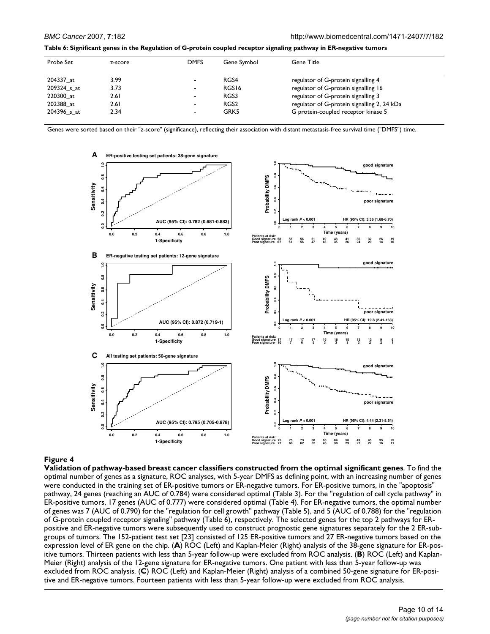| Table 6: Significant genes in the Regulation of G-protein coupled receptor signaling pathway in ER-negative tumors |
|--------------------------------------------------------------------------------------------------------------------|
|--------------------------------------------------------------------------------------------------------------------|

| Probe Set   | z-score | <b>DMFS</b> | Gene Symbol      | Gene Title                                  |
|-------------|---------|-------------|------------------|---------------------------------------------|
| 204337 at   | 3.99    |             | RGS4             | regulator of G-protein signalling 4         |
| 209324 s at | 3.73    | -           | RGS16            | regulator of G-protein signalling 16        |
| 220300 at   | 2.61    | ٠           | RGS3             | regulator of G-protein signalling 3         |
| 202388 at   | 2.61    | -           | RGS <sub>2</sub> | regulator of G-protein signalling 2, 24 kDa |
| 204396 s at | 2.34    | -           | GRK5             | G protein-coupled receptor kinase 5         |

Genes were sorted based on their "z-score" (significance), reflecting their association with distant metastasis-free survival time ("DMFS") time.



**Validation of pathway-based breast cancer classifiers constructed from the optimal significant genes**. To find the optimal number of genes as a signature, ROC analyses, with 5-year DMFS as defining point, with an increasing number of genes were conducted in the training set of ER-positive tumors or ER-negative tumors. For ER-positive tumors, in the "apoptosis" pathway, 24 genes (reaching an AUC of 0.784) were considered optimal (Table 3). For the "regulation of cell cycle pathway" in ER-positive tumors, 17 genes (AUC of 0.777) were considered optimal (Table 4). For ER-negative tumors, the optimal number of genes was 7 (AUC of 0.790) for the "regulation for cell growth" pathway (Table 5), and 5 (AUC of 0.788) for the "regulation of G-protein coupled receptor signaling" pathway (Table 6), respectively. The selected genes for the top 2 pathways for ERpositive and ER-negative tumors were subsequently used to construct prognostic gene signatures separately for the 2 ER-subgroups of tumors. The 152-patient test set [23] consisted of 125 ER-positive tumors and 27 ER-negative tumors based on the expression level of ER gene on the chip. (**A**) ROC (Left) and Kaplan-Meier (Right) analysis of the 38-gene signature for ER-positive tumors. Thirteen patients with less than 5-year follow-up were excluded from ROC analysis. (**B**) ROC (Left) and Kaplan-Meier (Right) analysis of the 12-gene signature for ER-negative tumors. One patient with less than 5-year follow-up was excluded from ROC analysis. (**C**) ROC (Left) and Kaplan-Meier (Right) analysis of a combined 50-gene signature for ER-positive and ER-negative tumors. Fourteen patients with less than 5-year follow-up were excluded from ROC analysis.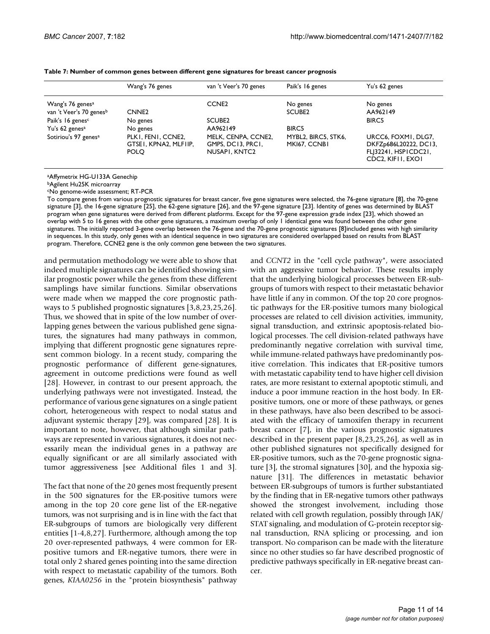|                                                                                                                                                           | Wang's 76 genes                                                                                         | van 't Veer's 70 genes                                                                                           | Paik's 16 genes                                                                       | Yu's 62 genes                                                                                                                     |
|-----------------------------------------------------------------------------------------------------------------------------------------------------------|---------------------------------------------------------------------------------------------------------|------------------------------------------------------------------------------------------------------------------|---------------------------------------------------------------------------------------|-----------------------------------------------------------------------------------------------------------------------------------|
| Wang's 76 genes <sup>a</sup><br>van 't Veer's 70 genesb<br>Paik's 16 genes <sup>c</sup><br>Yu's 62 genes <sup>a</sup><br>Sotiriou's 97 genes <sup>a</sup> | CNNE <sub>2</sub><br>No genes<br>No genes<br>PLKI, FENI, CCNE2,<br>GTSEI, KPNA2, MLFIIP,<br><b>POLO</b> | CCNE <sub>2</sub><br>SCUBE <sub>2</sub><br>AA962149<br>MELK, CENPA, CCNE2,<br>GMPS, DC13, PRC1,<br>NUSAPI, KNTC2 | No genes<br>SCUBE <sub>2</sub><br><b>BIRC5</b><br>MYBL2, BIRC5, STK6,<br>MKI67, CCNBI | No genes<br>AA962149<br><b>BIRC5</b><br>URCC6, FOXMI, DLG7,<br>DKFZp686L20222, DC13,<br>FL 32241, HSPICDC21,<br>CDC2, KIFII, EXOI |

#### **Table 7: Number of common genes between different gene signatures for breast cancer prognosis**

aAffymetrix HG-U133A Genechip

bAgilent Hu25K microarray

cNo genome-wide assessment; RT-PCR

To compare genes from various prognostic signatures for breast cancer, five gene signatures were selected, the 76-gene signature [8], the 70-gene signature [3], the 16-gene signature [25], the 62-gene signature [26], and the 97-gene signature [23]. Identity of genes was determined by BLAST program when gene signatures were derived from different platforms. Except for the 97-gene expression grade index [23], which showed an overlap with 5 to 16 genes with the other gene signatures, a maximum overlap of only 1 identical gene was found between the other gene signatures. The initially reported 3-gene overlap between the 76-gene and the 70-gene prognostic signatures [8]included genes with high similarity in sequences. In this study, only genes with an identical sequence in two signatures are considered overlapped based on results from BLAST program. Therefore, CCNE2 gene is the only common gene between the two signatures.

and permutation methodology we were able to show that indeed multiple signatures can be identified showing similar prognostic power while the genes from these different samplings have similar functions. Similar observations were made when we mapped the core prognostic pathways to 5 published prognostic signatures [3,8,23,25,26]. Thus, we showed that in spite of the low number of overlapping genes between the various published gene signatures, the signatures had many pathways in common, implying that different prognostic gene signatures represent common biology. In a recent study, comparing the prognostic performance of different gene-signatures, agreement in outcome predictions were found as well [28]. However, in contrast to our present approach, the underlying pathways were not investigated. Instead, the performance of various gene signatures on a single patient cohort, heterogeneous with respect to nodal status and adjuvant systemic therapy [29], was compared [28]. It is important to note, however, that although similar pathways are represented in various signatures, it does not necessarily mean the individual genes in a pathway are equally significant or are all similarly associated with tumor aggressiveness [see Additional files 1 and 3].

The fact that none of the 20 genes most frequently present in the 500 signatures for the ER-positive tumors were among in the top 20 core gene list of the ER-negative tumors, was not surprising and is in line with the fact that ER-subgroups of tumors are biologically very different entities [1-4,8,27]. Furthermore, although among the top 20 over-represented pathways, 4 were common for ERpositive tumors and ER-negative tumors, there were in total only 2 shared genes pointing into the same direction with respect to metastatic capability of the tumors. Both genes, *KIAA0256* in the "protein biosynthesis" pathway and *CCNT2* in the "cell cycle pathway", were associated with an aggressive tumor behavior. These results imply that the underlying biological processes between ER-subgroups of tumors with respect to their metastatic behavior have little if any in common. Of the top 20 core prognostic pathways for the ER-positive tumors many biological processes are related to cell division activities, immunity, signal transduction, and extrinsic apoptosis-related biological processes. The cell division-related pathways have predominantly negative correlation with survival time, while immune-related pathways have predominantly positive correlation. This indicates that ER-positive tumors with metastatic capability tend to have higher cell division rates, are more resistant to external apoptotic stimuli, and induce a poor immune reaction in the host body. In ERpositive tumors, one or more of these pathways, or genes in these pathways, have also been described to be associated with the efficacy of tamoxifen therapy in recurrent breast cancer [7], in the various prognostic signatures described in the present paper [8,23,25,26], as well as in other published signatures not specifically designed for ER-positive tumors, such as the 70-gene prognostic signature [3], the stromal signatures [30], and the hypoxia signature [31]. The differences in metastatic behavior between ER-subgroups of tumors is further substantiated by the finding that in ER-negative tumors other pathways showed the strongest involvement, including those related with cell growth regulation, possibly through JAK/ STAT signaling, and modulation of G-protein receptor signal transduction, RNA splicing or processing, and ion transport. No comparison can be made with the literature since no other studies so far have described prognostic of predictive pathways specifically in ER-negative breast cancer.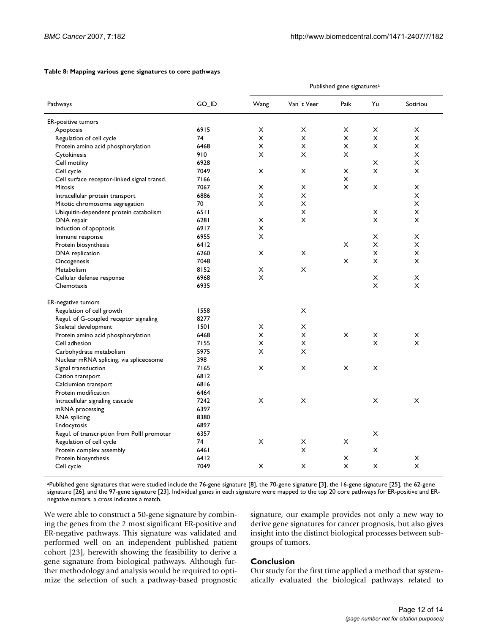|                                             |       | Published gene signatures <sup>a</sup> |                |                |        |                |  |
|---------------------------------------------|-------|----------------------------------------|----------------|----------------|--------|----------------|--|
| Pathways                                    | GO_ID | Wang                                   | Van 't Veer    | Paik           | Yu     | Sotiriou       |  |
| <b>ER-positive tumors</b>                   |       |                                        |                |                |        |                |  |
| Apoptosis                                   | 6915  | X                                      | X              | X              | X      | X              |  |
| Regulation of cell cycle                    | 74    | X                                      | X              | X              | X      | X              |  |
| Protein amino acid phosphorylation          | 6468  | $\pmb{\times}$                         | $\pmb{\times}$ | $\pmb{\times}$ | X      | X              |  |
| Cytokinesis                                 | 910   | X                                      | X              | X              |        | X              |  |
| Cell motility                               | 6928  |                                        |                |                | X      | X              |  |
| Cell cycle                                  | 7049  | X                                      | X              | X              | X      | X              |  |
| Cell surface receptor-linked signal transd. | 7166  |                                        |                | X              |        |                |  |
| <b>Mitosis</b>                              | 7067  | X                                      | X              | X              | X      | X              |  |
| Intracellular protein transport             | 6886  | X                                      | X              |                |        | X              |  |
| Mitotic chromosome segregation              | 70    | X                                      | X              |                |        | $\pmb{\times}$ |  |
| Ubiquitin-dependent protein catabolism      | 6511  |                                        | X              |                | X      | X              |  |
| DNA repair                                  | 6281  | X                                      | X              |                | X      | X              |  |
| Induction of apoptosis                      | 6917  | X                                      |                |                |        |                |  |
| Immune response                             | 6955  | X                                      |                |                | X      | X              |  |
| Protein biosynthesis                        | 6412  |                                        |                | X              | X      | X              |  |
|                                             | 6260  | X                                      | X              |                | X      | X              |  |
| DNA replication                             | 7048  |                                        |                | X              | X      | X              |  |
| Oncogenesis<br>Metabolism                   | 8152  | X                                      | X              |                |        |                |  |
|                                             | 6968  | X                                      |                |                |        |                |  |
| Cellular defense response                   |       |                                        |                |                | X<br>X | X              |  |
| Chemotaxis                                  | 6935  |                                        |                |                |        | X              |  |
| <b>ER-negative tumors</b>                   |       |                                        |                |                |        |                |  |
| Regulation of cell growth                   | 1558  |                                        | $\pmb{\times}$ |                |        |                |  |
| Regul. of G-coupled receptor signaling      | 8277  |                                        |                |                |        |                |  |
| Skeletal development                        | 1501  | X                                      | X              |                |        |                |  |
| Protein amino acid phosphorylation          | 6468  | X                                      | X              | $\pmb{\times}$ | X      | X              |  |
| Cell adhesion                               | 7155  | X                                      | X              |                | X      | X              |  |
| Carbohydrate metabolism                     | 5975  | X                                      | X              |                |        |                |  |
| Nuclear mRNA splicing, via spliceosome      | 398   |                                        |                |                |        |                |  |
| Signal transduction                         | 7165  | X                                      | X              | X              | X      |                |  |
| Cation transport                            | 6812  |                                        |                |                |        |                |  |
| Calciumion transport                        | 6816  |                                        |                |                |        |                |  |
| Protein modification                        | 6464  |                                        |                |                |        |                |  |
| Intracellular signaling cascade             | 7242  | X                                      | X              |                | X      | X              |  |
| mRNA processing                             | 6397  |                                        |                |                |        |                |  |
| RNA splicing                                | 8380  |                                        |                |                |        |                |  |
| Endocytosis                                 | 6897  |                                        |                |                |        |                |  |
| Regul. of transcription from Polll promoter | 6357  |                                        |                |                | X      |                |  |
| Regulation of cell cycle                    | 74    | $\pmb{\times}$                         | X              | X              |        |                |  |
| Protein complex assembly                    | 6461  |                                        | X              |                | X      |                |  |
| Protein biosynthesis                        | 6412  |                                        |                | X              |        | X              |  |
| Cell cycle                                  | 7049  | X                                      | X              | X              | X      | X              |  |
|                                             |       |                                        |                |                |        |                |  |

#### **Table 8: Mapping various gene signatures to core pathways**

aPublished gene signatures that were studied include the 76-gene signature [8], the 70-gene signature [3], the 16-gene signature [25], the 62-gene signature [26], and the 97-gene signature [23]. Individual genes in each signature were mapped to the top 20 core pathways for ER-positive and ERnegative tumors, a cross indicates a match.

We were able to construct a 50-gene signature by combining the genes from the 2 most significant ER-positive and ER-negative pathways. This signature was validated and performed well on an independent published patient cohort [23], herewith showing the feasibility to derive a gene signature from biological pathways. Although further methodology and analysis would be required to optimize the selection of such a pathway-based prognostic signature, our example provides not only a new way to derive gene signatures for cancer prognosis, but also gives insight into the distinct biological processes between subgroups of tumors.

# **Conclusion**

Our study for the first time applied a method that systematically evaluated the biological pathways related to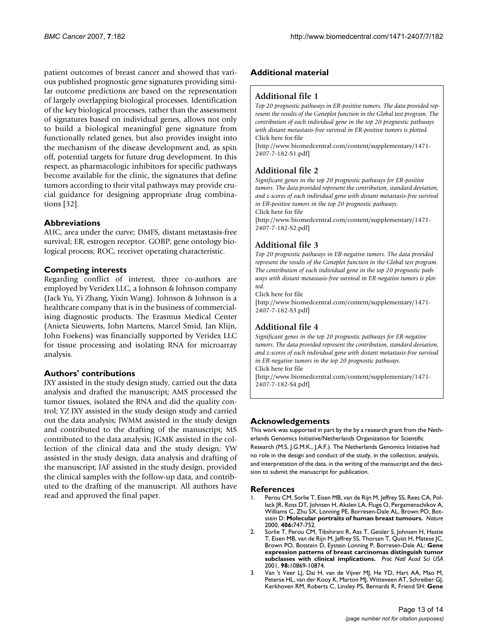patient outcomes of breast cancer and showed that various published prognostic gene signatures providing similar outcome predictions are based on the representation of largely overlapping biological processes. Identification of the key biological processes, rather than the assessment of signatures based on individual genes, allows not only to build a biological meaningful gene signature from functionally related genes, but also provides insight into the mechanism of the disease development and, as spin off, potential targets for future drug development. In this respect, as pharmacologic inhibitors for specific pathways become available for the clinic, the signatures that define tumors according to their vital pathways may provide crucial guidance for designing appropriate drug combinations [32].

# **Abbreviations**

AUC, area under the curve; DMFS, distant metastasis-free survival; ER, estrogen receptor. GOBP, gene ontology biological process; ROC, receiver operating characteristic.

# **Competing interests**

Regarding conflict of interest, three co-authors are employed by Veridex LLC, a Johnson & Johnson company (Jack Yu, Yi Zhang, Yixin Wang). Johnson & Johnson is a healthcare company that is in the business of commercialising diagnostic products. The Erasmus Medical Center (Anieta Sieuwerts, John Martens, Marcel Smid, Jan Klijn, John Foekens) was financially supported by Veridex LLC for tissue processing and isolating RNA for microarray analysis.

# **Authors' contributions**

JXY assisted in the study design study, carried out the data analysis and drafted the manuscript; AMS processed the tumor tissues, isolated the RNA and did the quality control; YZ JXY assisted in the study design study and carried out the data analysis; JWMM assisted in the study design and contributed to the drafting of the manuscript; MS contributed to the data analysis; JGMK assisted in the collection of the clinical data and the study design; YW assisted in the study design, data analysis and drafting of the manuscript; JAF assisted in the study design, provided the clinical samples with the follow-up data, and contributed to the drafting of the manuscript. All authors have read and approved the final paper.

# **Additional material**

# **Additional file 1**

*Top 20 prognostic pathways in ER-positive tumors. The data provided represent the results of the Geneplot function in the Global test program. The contribution of each individual gene in the top 20 prognostic pathways with distant metastasis-free survival in ER-positive tumors is plotted.* Click here for file

[\[http://www.biomedcentral.com/content/supplementary/1471-](http://www.biomedcentral.com/content/supplementary/1471-2407-7-182-S1.pdf) 2407-7-182-S1.pdf]

# **Additional file 2**

*Significant genes in the top 20 prognostic pathways for ER-positive tumors. The data provided represent the contribution, standard deviation, and z-scores of each individual gene with distant metastasis-free survival in ER-positive tumors in the top 20 prognostic pathways.*

Click here for file

[\[http://www.biomedcentral.com/content/supplementary/1471-](http://www.biomedcentral.com/content/supplementary/1471-2407-7-182-S2.pdf) 2407-7-182-S2.pdf]

# **Additional file 3**

*Top 20 prognostic pathways in ER-negative tumors. The data provided represent the results of the Geneplot function in the Global test program. The contribution of each individual gene in the top 20 prognostic pathways with distant metastasis-free survival in ER-negative tumors is plotted.*

Click here for file

[\[http://www.biomedcentral.com/content/supplementary/1471-](http://www.biomedcentral.com/content/supplementary/1471-2407-7-182-S3.pdf) 2407-7-182-S3.pdf]

# **Additional file 4**

*Significant genes in the top 20 prognostic pathways for ER-negative tumors. The data provided represent the contribution, standard deviation, and z-scores of each individual gene with distant metastasis-free survival in ER-negative tumors in the top 20 prognostic pathways.* Click here for file

[\[http://www.biomedcentral.com/content/supplementary/1471-](http://www.biomedcentral.com/content/supplementary/1471-2407-7-182-S4.pdf) 2407-7-182-S4.pdf]

# **Acknowledgements**

This work was supported in part by the by a research grant from the Netherlands Genomics Initiative/Netherlands Organization for Scientific Research (M.S, J.G.M.K., J.A.F.). The Netherlands Genomics Initiative had no role in the design and conduct of the study, in the collection, analysis, and interpretation of the data, in the writing of the mansucript and the decision to submit the manuscript for publication.

### **References**

- 1. Perou CM, Sorlie T, Eisen MB, van de Rijn M, Jeffrey SS, Rees CA, Pollack JR, Ross DT, Johnsen H, Akslen LA, Fluge O, Pergamenschikov A, Williams C, Zhu SX, Lonning PE, Borresen-Dale AL, Brown PO, Botstein D: **[Molecular portraits of human breast tumours.](http://www.ncbi.nlm.nih.gov/entrez/query.fcgi?cmd=Retrieve&db=PubMed&dopt=Abstract&list_uids=10963602)** *Nature* 2000, **406:**747-752.
- 2. Sorlie T, Perou CM, Tibshirani R, Aas T, Geisler S, Johnsen H, Hastie T, Eisen MB, van de Rijn M, Jeffrey SS, Thorsen T, Quist H, Matese JC, Brown PO, Botstein D, Eystein Lonning P, Borresen-Dale AL: **[Gene](http://www.ncbi.nlm.nih.gov/entrez/query.fcgi?cmd=Retrieve&db=PubMed&dopt=Abstract&list_uids=11553815) [expression patterns of breast carcinomas distinguish tumor](http://www.ncbi.nlm.nih.gov/entrez/query.fcgi?cmd=Retrieve&db=PubMed&dopt=Abstract&list_uids=11553815) [subclasses with clinical implications.](http://www.ncbi.nlm.nih.gov/entrez/query.fcgi?cmd=Retrieve&db=PubMed&dopt=Abstract&list_uids=11553815)** *Proc Natl Acad Sci USA* 2001, **98:**10869-10874.
- 3. Van 't Veer LJ, Dai H, van de Vijver MJ, He YD, Hart AA, Mao M, Peterse HL, van der Kooy K, Marton MJ, Witteveen AT, Schreiber GJ, Kerkhoven RM, Roberts C, Linsley PS, Bernards R, Friend SH: **[Gene](http://www.ncbi.nlm.nih.gov/entrez/query.fcgi?cmd=Retrieve&db=PubMed&dopt=Abstract&list_uids=11823860)**